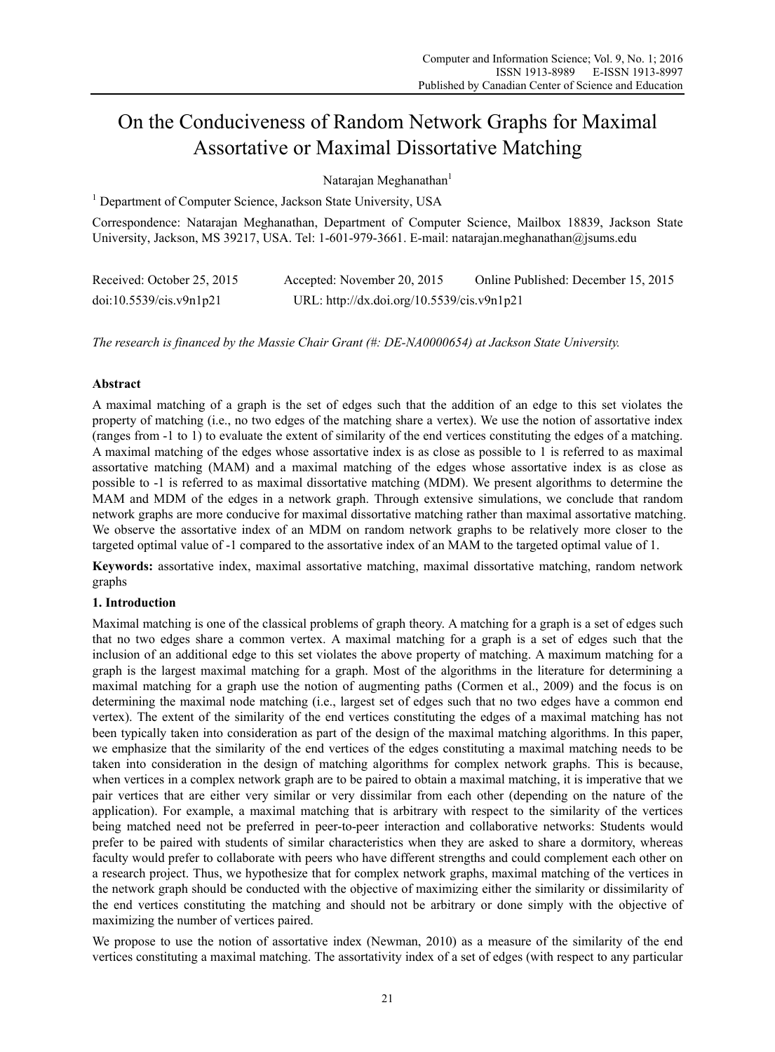# On the Conduciveness of Random Network Graphs for Maximal Assortative or Maximal Dissortative Matching

Natarajan Meghanathan<sup>1</sup>

<sup>1</sup> Department of Computer Science, Jackson State University, USA

Correspondence: Natarajan Meghanathan, Department of Computer Science, Mailbox 18839, Jackson State University, Jackson, MS 39217, USA. Tel: 1-601-979-3661. E-mail: natarajan.meghanathan@jsums.edu

| Received: October 25, 2015 | Accepted: November 20, 2015                | Online Published: December 15, 2015 |
|----------------------------|--------------------------------------------|-------------------------------------|
| doi:10.5539/cis.v9n1p21    | URL: http://dx.doi.org/10.5539/cis.v9n1p21 |                                     |

*The research is financed by the Massie Chair Grant (#: DE-NA0000654) at Jackson State University.* 

# **Abstract**

A maximal matching of a graph is the set of edges such that the addition of an edge to this set violates the property of matching (i.e., no two edges of the matching share a vertex). We use the notion of assortative index (ranges from -1 to 1) to evaluate the extent of similarity of the end vertices constituting the edges of a matching. A maximal matching of the edges whose assortative index is as close as possible to 1 is referred to as maximal assortative matching (MAM) and a maximal matching of the edges whose assortative index is as close as possible to -1 is referred to as maximal dissortative matching (MDM). We present algorithms to determine the MAM and MDM of the edges in a network graph. Through extensive simulations, we conclude that random network graphs are more conducive for maximal dissortative matching rather than maximal assortative matching. We observe the assortative index of an MDM on random network graphs to be relatively more closer to the targeted optimal value of -1 compared to the assortative index of an MAM to the targeted optimal value of 1.

**Keywords:** assortative index, maximal assortative matching, maximal dissortative matching, random network graphs

# **1. Introduction**

Maximal matching is one of the classical problems of graph theory. A matching for a graph is a set of edges such that no two edges share a common vertex. A maximal matching for a graph is a set of edges such that the inclusion of an additional edge to this set violates the above property of matching. A maximum matching for a graph is the largest maximal matching for a graph. Most of the algorithms in the literature for determining a maximal matching for a graph use the notion of augmenting paths (Cormen et al., 2009) and the focus is on determining the maximal node matching (i.e., largest set of edges such that no two edges have a common end vertex). The extent of the similarity of the end vertices constituting the edges of a maximal matching has not been typically taken into consideration as part of the design of the maximal matching algorithms. In this paper, we emphasize that the similarity of the end vertices of the edges constituting a maximal matching needs to be taken into consideration in the design of matching algorithms for complex network graphs. This is because, when vertices in a complex network graph are to be paired to obtain a maximal matching, it is imperative that we pair vertices that are either very similar or very dissimilar from each other (depending on the nature of the application). For example, a maximal matching that is arbitrary with respect to the similarity of the vertices being matched need not be preferred in peer-to-peer interaction and collaborative networks: Students would prefer to be paired with students of similar characteristics when they are asked to share a dormitory, whereas faculty would prefer to collaborate with peers who have different strengths and could complement each other on a research project. Thus, we hypothesize that for complex network graphs, maximal matching of the vertices in the network graph should be conducted with the objective of maximizing either the similarity or dissimilarity of the end vertices constituting the matching and should not be arbitrary or done simply with the objective of maximizing the number of vertices paired.

We propose to use the notion of assortative index (Newman, 2010) as a measure of the similarity of the end vertices constituting a maximal matching. The assortativity index of a set of edges (with respect to any particular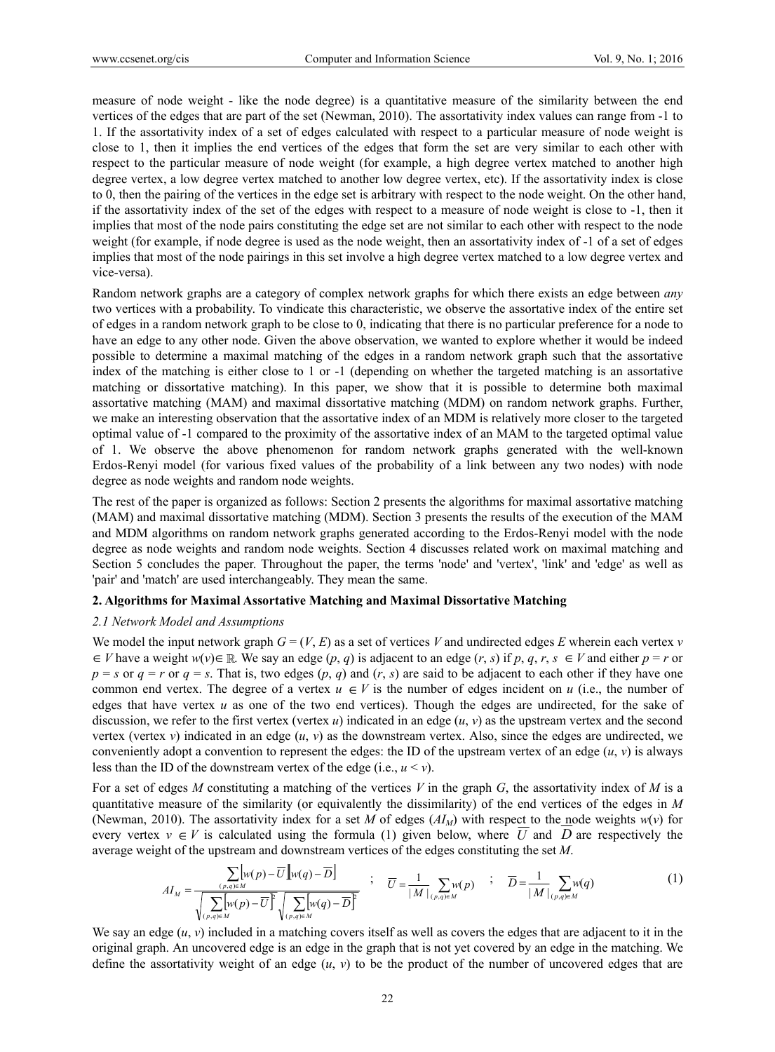measure of node weight - like the node degree) is a quantitative measure of the similarity between the end vertices of the edges that are part of the set (Newman, 2010). The assortativity index values can range from -1 to 1. If the assortativity index of a set of edges calculated with respect to a particular measure of node weight is close to 1, then it implies the end vertices of the edges that form the set are very similar to each other with respect to the particular measure of node weight (for example, a high degree vertex matched to another high degree vertex, a low degree vertex matched to another low degree vertex, etc). If the assortativity index is close to 0, then the pairing of the vertices in the edge set is arbitrary with respect to the node weight. On the other hand, if the assortativity index of the set of the edges with respect to a measure of node weight is close to -1, then it implies that most of the node pairs constituting the edge set are not similar to each other with respect to the node weight (for example, if node degree is used as the node weight, then an assortativity index of -1 of a set of edges implies that most of the node pairings in this set involve a high degree vertex matched to a low degree vertex and vice-versa).

Random network graphs are a category of complex network graphs for which there exists an edge between *any* two vertices with a probability. To vindicate this characteristic, we observe the assortative index of the entire set of edges in a random network graph to be close to 0, indicating that there is no particular preference for a node to have an edge to any other node. Given the above observation, we wanted to explore whether it would be indeed possible to determine a maximal matching of the edges in a random network graph such that the assortative index of the matching is either close to 1 or -1 (depending on whether the targeted matching is an assortative matching or dissortative matching). In this paper, we show that it is possible to determine both maximal assortative matching (MAM) and maximal dissortative matching (MDM) on random network graphs. Further, we make an interesting observation that the assortative index of an MDM is relatively more closer to the targeted optimal value of -1 compared to the proximity of the assortative index of an MAM to the targeted optimal value of 1. We observe the above phenomenon for random network graphs generated with the well-known Erdos-Renyi model (for various fixed values of the probability of a link between any two nodes) with node degree as node weights and random node weights.

The rest of the paper is organized as follows: Section 2 presents the algorithms for maximal assortative matching (MAM) and maximal dissortative matching (MDM). Section 3 presents the results of the execution of the MAM and MDM algorithms on random network graphs generated according to the Erdos-Renyi model with the node degree as node weights and random node weights. Section 4 discusses related work on maximal matching and Section 5 concludes the paper. Throughout the paper, the terms 'node' and 'vertex', 'link' and 'edge' as well as 'pair' and 'match' are used interchangeably. They mean the same.

# **2. Algorithms for Maximal Assortative Matching and Maximal Dissortative Matching**

#### *2.1 Network Model and Assumptions*

We model the input network graph  $G = (V, E)$  as a set of vertices *V* and undirected edges *E* wherein each vertex *v*  $V$  have a weight  $w(v) \in \mathbb{R}$ . We say an edge  $(p, q)$  is adjacent to an edge  $(r, s)$  if  $p, q, r, s \in V$  and either  $p = r$  or  $p = s$  or  $q = r$  or  $q = s$ . That is, two edges  $(p, q)$  and  $(r, s)$  are said to be adjacent to each other if they have one common end vertex. The degree of a vertex  $u \in V$  is the number of edges incident on  $u$  (i.e., the number of edges that have vertex *u* as one of the two end vertices). Though the edges are undirected, for the sake of discussion, we refer to the first vertex (vertex  $u$ ) indicated in an edge  $(u, v)$  as the upstream vertex and the second vertex (vertex  $v$ ) indicated in an edge  $(u, v)$  as the downstream vertex. Also, since the edges are undirected, we conveniently adopt a convention to represent the edges: the ID of the upstream vertex of an edge  $(u, v)$  is always less than the ID of the downstream vertex of the edge (i.e.,  $u < v$ ).

For a set of edges *M* constituting a matching of the vertices *V* in the graph *G*, the assortativity index of *M* is a quantitative measure of the similarity (or equivalently the dissimilarity) of the end vertices of the edges in *M* (Newman, 2010). The assortativity index for a set *M* of edges  $(A<sub>M</sub>)$  with respect to the node weights  $w(v)$  for every vertex  $v \in V$  is calculated using the formula (1) given below, where U and D are respectively the average weight of the upstream and downstream vertices of the edges constituting the set *M*.

$$
AI_M = \frac{\sum_{(p,q)\in M} [w(p) - \overline{U}] [w(q) - \overline{D}]}{\sqrt{\sum_{(p,q)\in M} [w(p) - \overline{U}]^2} \sqrt{\sum_{(p,q)\in M} [w(q) - \overline{D}]^2}} \quad ; \quad \overline{U} = \frac{1}{|M|} \sum_{(p,q)\in M} w(p) \quad ; \quad \overline{D} = \frac{1}{|M|} \sum_{(p,q)\in M} w(q) \tag{1}
$$

We say an edge  $(u, v)$  included in a matching covers itself as well as covers the edges that are adjacent to it in the original graph. An uncovered edge is an edge in the graph that is not yet covered by an edge in the matching. We define the assortativity weight of an edge  $(u, v)$  to be the product of the number of uncovered edges that are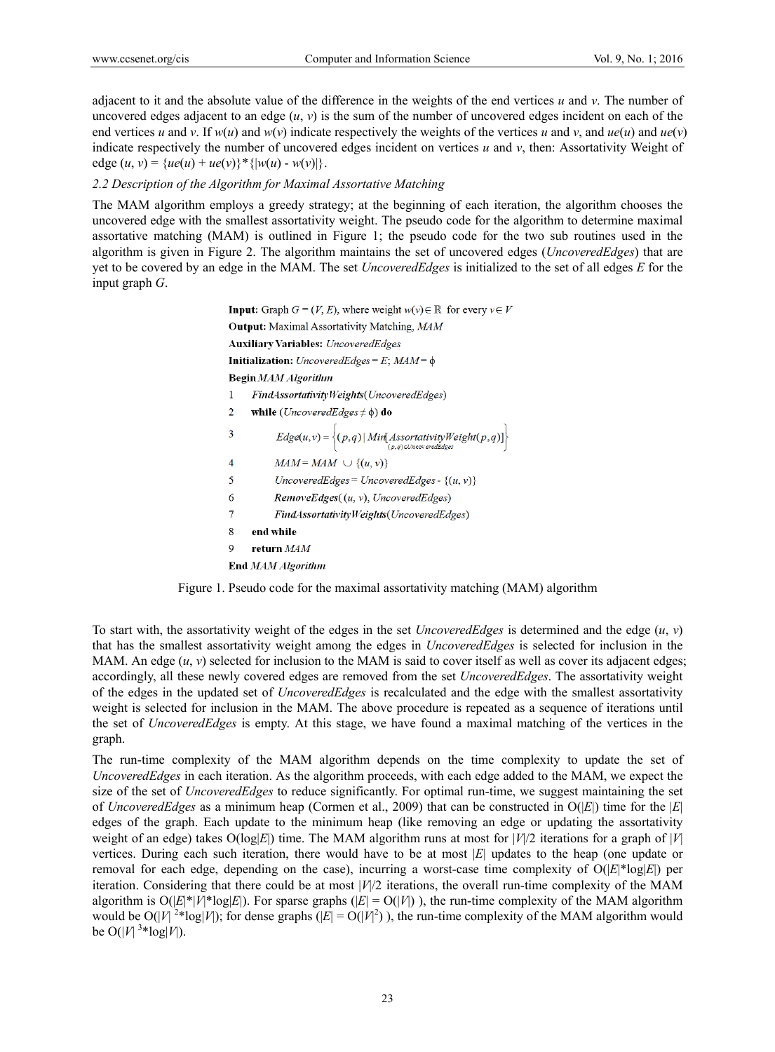adjacent to it and the absolute value of the difference in the weights of the end vertices *u* and *v*. The number of uncovered edges adjacent to an edge  $(u, v)$  is the sum of the number of uncovered edges incident on each of the end vertices *u* and *v*. If  $w(u)$  and  $w(v)$  indicate respectively the weights of the vertices *u* and *v*, and  $u e(u)$  and  $u e(v)$ indicate respectively the number of uncovered edges incident on vertices *u* and *v*, then: Assortativity Weight of edge  $(u, v) = {ue(u) + ue(v)}*{w(u) - w(v)}$ .

### *2.2 Description of the Algorithm for Maximal Assortative Matching*

The MAM algorithm employs a greedy strategy; at the beginning of each iteration, the algorithm chooses the uncovered edge with the smallest assortativity weight. The pseudo code for the algorithm to determine maximal assortative matching (MAM) is outlined in Figure 1; the pseudo code for the two sub routines used in the algorithm is given in Figure 2. The algorithm maintains the set of uncovered edges (*UncoveredEdges*) that are yet to be covered by an edge in the MAM. The set *UncoveredEdges* is initialized to the set of all edges *E* for the input graph *G*.

```
Input: Graph G = (V, E), where weight w(v) \in \mathbb{R} for every v \in VOutput: Maximal Assortativity Matching, MAM
Auxiliary Variables: UncoveredEdges
Initialization: UncoveredEdges = E; MAM = \phiBegin MAM Algorithm
\mathbf{1}FindAssortativityWeights(UncoveredEdges)
\overline{2}while (UncoveredEdges \neq \phi) do
\overline{\mathbf{3}}Edge(u, v) = \left\{ (p, q) | Min[Associative weight(p, q)] \right\}\overline{4}MAM = MAM \cup \{(u, v)\}5
           UncoveredEdges = UncoveredEdges - \{(u, v)\}6
           RemoveEdges(u, v), UncoveredEdges)\overline{7}FindAssortativityWeights(UncoveredEdges)
8
     end while
9
     return MAM
End MAM Algorithm
```


To start with, the assortativity weight of the edges in the set *UncoveredEdges* is determined and the edge (*u*, *v*) that has the smallest assortativity weight among the edges in *UncoveredEdges* is selected for inclusion in the MAM. An edge  $(u, v)$  selected for inclusion to the MAM is said to cover itself as well as cover its adjacent edges; accordingly, all these newly covered edges are removed from the set *UncoveredEdges*. The assortativity weight of the edges in the updated set of *UncoveredEdges* is recalculated and the edge with the smallest assortativity weight is selected for inclusion in the MAM. The above procedure is repeated as a sequence of iterations until the set of *UncoveredEdges* is empty. At this stage, we have found a maximal matching of the vertices in the graph.

The run-time complexity of the MAM algorithm depends on the time complexity to update the set of *UncoveredEdges* in each iteration. As the algorithm proceeds, with each edge added to the MAM, we expect the size of the set of *UncoveredEdges* to reduce significantly. For optimal run-time, we suggest maintaining the set of *UncoveredEdges* as a minimum heap (Cormen et al., 2009) that can be constructed in O(|*E*|) time for the |*E*| edges of the graph. Each update to the minimum heap (like removing an edge or updating the assortativity weight of an edge) takes  $O(log|E|)$  time. The MAM algorithm runs at most for  $|V|/2$  iterations for a graph of  $|V|$ vertices. During each such iteration, there would have to be at most |*E*| updates to the heap (one update or removal for each edge, depending on the case), incurring a worst-case time complexity of  $O(|E^*| \log |E|)$  per iteration. Considering that there could be at most  $|V|/2$  iterations, the overall run-time complexity of the MAM algorithm is  $O(|E^*|V^*log|E|)$ . For sparse graphs  $(|E| = O(|V|)$ ), the run-time complexity of the MAM algorithm would be  $O(|V|^2 * log|V|)$ ; for dense graphs  $(|E| = O(|V|^2)$ ), the run-time complexity of the MAM algorithm would be  $O(|V|^{3}$ <sup>\*</sup>log|*V*|).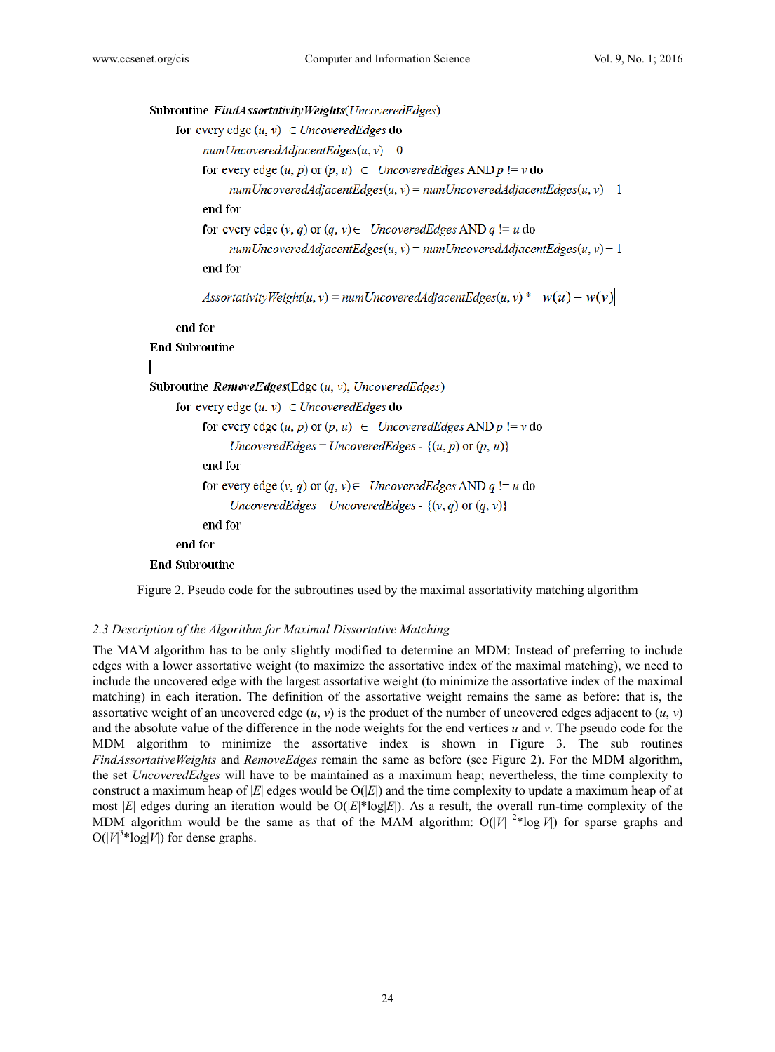| Subroutine FindAssortativityWeights(UncoveredEdges)                            |
|--------------------------------------------------------------------------------|
| for every edge $(u, v) \in UncoveredEdges$ do                                  |
| $numUncoveredAdjacentEdges(u, v) = 0$                                          |
| for every edge $(u, p)$ or $(p, u) \in UncoveredEdges$ AND $p := v$ do         |
| $numUncovered AdjacentEdges(u, v) = numUncoveredAdjacentEdges(u, v) + 1$       |
| end for                                                                        |
| for every edge $(v, q)$ or $(q, v) \in UncoveredEdges$ AND $q := u$ do         |
| $numUncovered AdjacentEdges(u, v) = numUncoveredAdjacentEdges(u, v) + 1$       |
| end for                                                                        |
| Assortativity Weight(u, v) = numUncoveredAdjacentEdges(u, v) * $ w(u) - w(v) $ |
| end for                                                                        |
| <b>End Subroutine</b>                                                          |
|                                                                                |
| Subroutine $RemoveEdges(Edge(u, v), UncoveredEdges)$                           |
| for every edge $(u, v) \in UncoveredEdges$ do                                  |
| for every edge $(u, p)$ or $(p, u) \in UncoveredEdges$ AND $p := v$ do         |
| UncoveredEdges = UncoveredEdges - $\{(u, p)$ or $(p, u)\}$                     |
| end for                                                                        |
| for every edge $(v, q)$ or $(q, v) \in UncoveredEdges$ AND $q := u$ do         |
| UncoveredEdges = UncoveredEdges - $\{(v, q) \text{ or } (q, v)\}$              |
| end for                                                                        |
| end for                                                                        |
| <b>End Subroutine</b>                                                          |
|                                                                                |

Figure 2. Pseudo code for the subroutines used by the maximal assortativity matching algorithm

## *2.3 Description of the Algorithm for Maximal Dissortative Matching*

The MAM algorithm has to be only slightly modified to determine an MDM: Instead of preferring to include edges with a lower assortative weight (to maximize the assortative index of the maximal matching), we need to include the uncovered edge with the largest assortative weight (to minimize the assortative index of the maximal matching) in each iteration. The definition of the assortative weight remains the same as before: that is, the assortative weight of an uncovered edge  $(u, v)$  is the product of the number of uncovered edges adjacent to  $(u, v)$ and the absolute value of the difference in the node weights for the end vertices *u* and *v*. The pseudo code for the MDM algorithm to minimize the assortative index is shown in Figure 3. The sub routines *FindAssortativeWeights* and *RemoveEdges* remain the same as before (see Figure 2). For the MDM algorithm, the set *UncoveredEdges* will have to be maintained as a maximum heap; nevertheless, the time complexity to construct a maximum heap of |*E*| edges would be O(|*E*|) and the time complexity to update a maximum heap of at most |*E*| edges during an iteration would be  $O(|E|^*log|E|)$ . As a result, the overall run-time complexity of the MDM algorithm would be the same as that of the MAM algorithm:  $O(|V|^{2*} \log |V|)$  for sparse graphs and  $O(|V|^3 * log|V|)$  for dense graphs.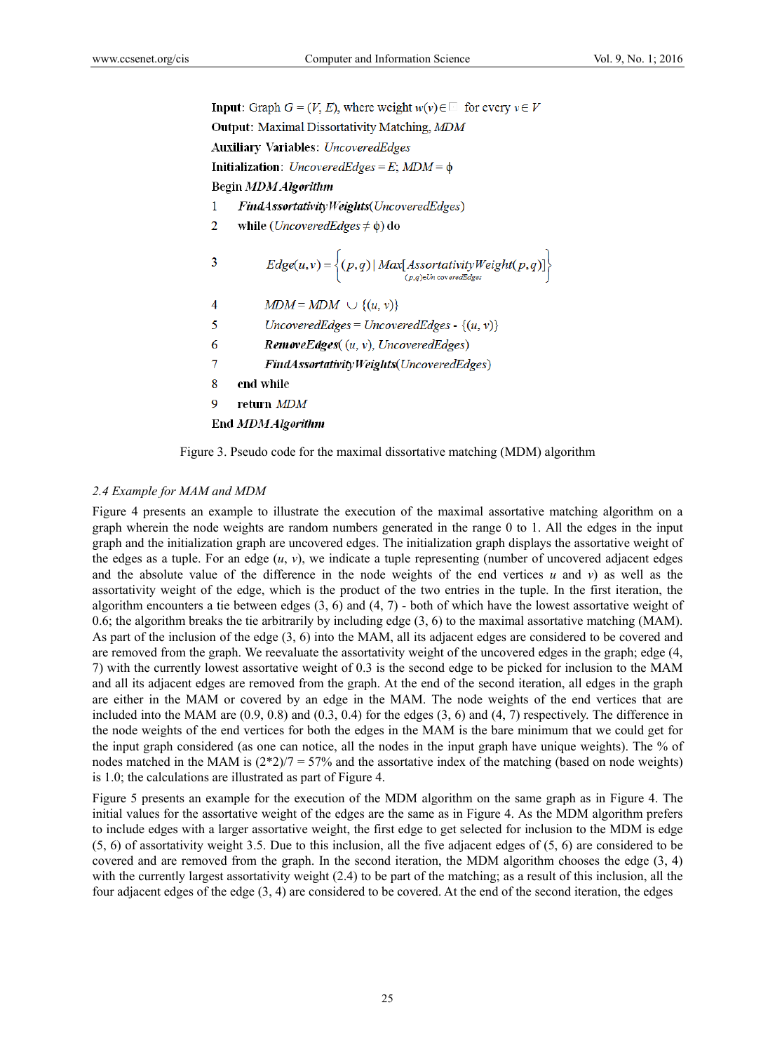Input: Graph  $G = (V, E)$ , where weight  $w(v) \in \Box$  for every  $v \in V$ Output: Maximal Dissortativity Matching, MDM **Auxiliary Variables: UncoveredEdges** Initialization: *UncoveredEdges* = E;  $MDM = \phi$ Begin MDM Algorithm FindAssortativityWeights(UncoveredEdges)  $\mathbf{1}$  $\overline{2}$ while (*UncoveredEdges*  $\neq$   $\phi$ ) do  $Edge(u,v) = \left\{ (p,q) | Max[AssociativityWeight(p,q)] \right\}$ 3  $MDM = MDM \cup \{(u, v)\}$  $\overline{4}$ 5  $UncoveredEdges = UncoveredEdges - \{(u, v)\}$ 6  $RemoveEdges(u, v), UncoveredEdges)$  $\overline{7}$ FindAssortativityWeights(UncoveredEdges) 8 end while 9 return MDM End MDM Algorithm

Figure 3. Pseudo code for the maximal dissortative matching (MDM) algorithm

#### *2.4 Example for MAM and MDM*

Figure 4 presents an example to illustrate the execution of the maximal assortative matching algorithm on a graph wherein the node weights are random numbers generated in the range 0 to 1. All the edges in the input graph and the initialization graph are uncovered edges. The initialization graph displays the assortative weight of the edges as a tuple. For an edge  $(u, v)$ , we indicate a tuple representing (number of uncovered adjacent edges and the absolute value of the difference in the node weights of the end vertices  $u$  and  $v$ ) as well as the assortativity weight of the edge, which is the product of the two entries in the tuple. In the first iteration, the algorithm encounters a tie between edges (3, 6) and (4, 7) - both of which have the lowest assortative weight of 0.6; the algorithm breaks the tie arbitrarily by including edge (3, 6) to the maximal assortative matching (MAM). As part of the inclusion of the edge (3, 6) into the MAM, all its adjacent edges are considered to be covered and are removed from the graph. We reevaluate the assortativity weight of the uncovered edges in the graph; edge (4, 7) with the currently lowest assortative weight of 0.3 is the second edge to be picked for inclusion to the MAM and all its adjacent edges are removed from the graph. At the end of the second iteration, all edges in the graph are either in the MAM or covered by an edge in the MAM. The node weights of the end vertices that are included into the MAM are (0.9, 0.8) and (0.3, 0.4) for the edges (3, 6) and (4, 7) respectively. The difference in the node weights of the end vertices for both the edges in the MAM is the bare minimum that we could get for the input graph considered (as one can notice, all the nodes in the input graph have unique weights). The % of nodes matched in the MAM is  $(2^2)/7 = 57%$  and the assortative index of the matching (based on node weights) is 1.0; the calculations are illustrated as part of Figure 4.

Figure 5 presents an example for the execution of the MDM algorithm on the same graph as in Figure 4. The initial values for the assortative weight of the edges are the same as in Figure 4. As the MDM algorithm prefers to include edges with a larger assortative weight, the first edge to get selected for inclusion to the MDM is edge (5, 6) of assortativity weight 3.5. Due to this inclusion, all the five adjacent edges of (5, 6) are considered to be covered and are removed from the graph. In the second iteration, the MDM algorithm chooses the edge  $(3, 4)$ with the currently largest assortativity weight (2.4) to be part of the matching; as a result of this inclusion, all the four adjacent edges of the edge (3, 4) are considered to be covered. At the end of the second iteration, the edges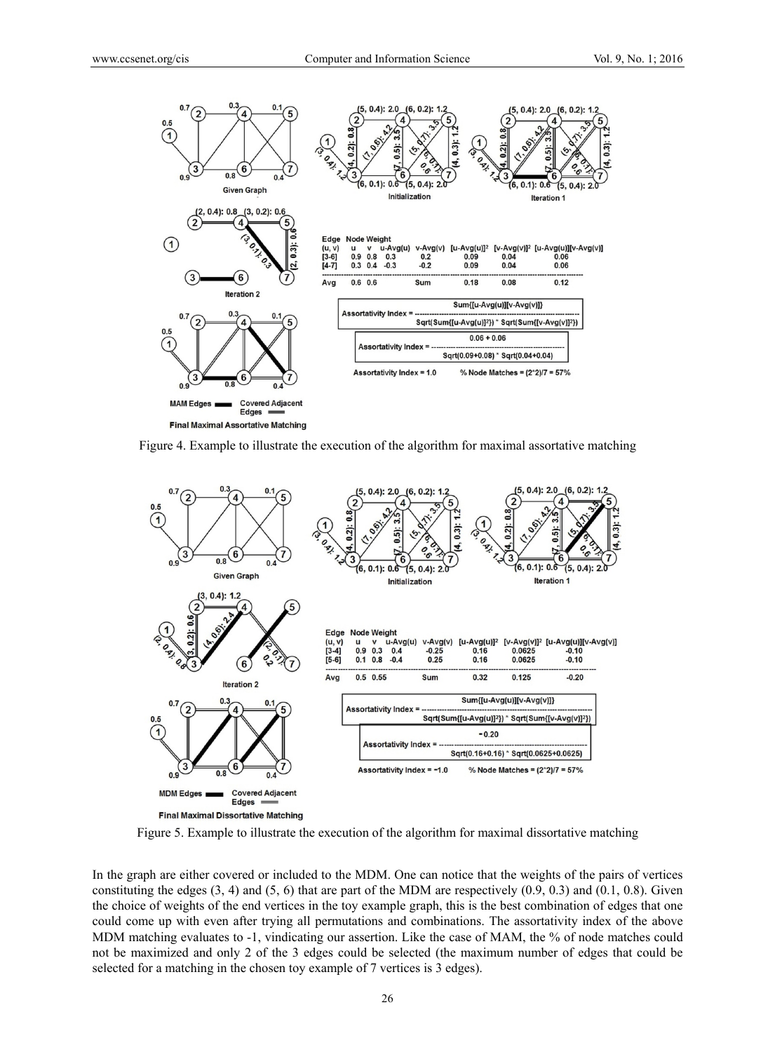

Figure 4. Example to illustrate the execution of the algorithm for maximal assortative matching



Figure 5. Example to illustrate the execution of the algorithm for maximal dissortative matching

In the graph are either covered or included to the MDM. One can notice that the weights of the pairs of vertices constituting the edges  $(3, 4)$  and  $(5, 6)$  that are part of the MDM are respectively  $(0.9, 0.3)$  and  $(0.1, 0.8)$ . Given the choice of weights of the end vertices in the toy example graph, this is the best combination of edges that one could come up with even after trying all permutations and combinations. The assortativity index of the above MDM matching evaluates to -1, vindicating our assertion. Like the case of MAM, the % of node matches could not be maximized and only 2 of the 3 edges could be selected (the maximum number of edges that could be selected for a matching in the chosen toy example of 7 vertices is 3 edges).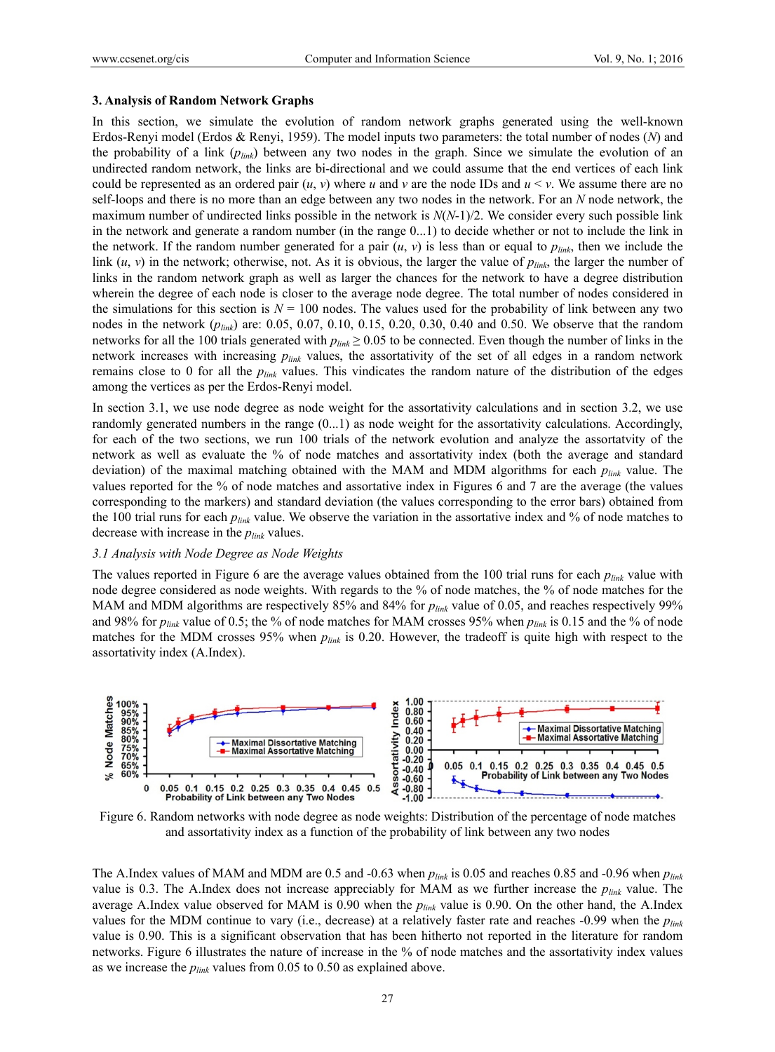#### **3. Analysis of Random Network Graphs**

In this section, we simulate the evolution of random network graphs generated using the well-known Erdos-Renyi model (Erdos & Renyi, 1959). The model inputs two parameters: the total number of nodes (*N*) and the probability of a link (*plink*) between any two nodes in the graph. Since we simulate the evolution of an undirected random network, the links are bi-directional and we could assume that the end vertices of each link could be represented as an ordered pair  $(u, v)$  where *u* and *v* are the node IDs and  $u \le v$ . We assume there are no self-loops and there is no more than an edge between any two nodes in the network. For an *N* node network, the maximum number of undirected links possible in the network is *N*(*N*-1)/2. We consider every such possible link in the network and generate a random number (in the range 0...1) to decide whether or not to include the link in the network. If the random number generated for a pair  $(u, v)$  is less than or equal to  $p_{link}$ , then we include the link  $(u, v)$  in the network; otherwise, not. As it is obvious, the larger the value of  $p_{link}$ , the larger the number of links in the random network graph as well as larger the chances for the network to have a degree distribution wherein the degree of each node is closer to the average node degree. The total number of nodes considered in the simulations for this section is  $N = 100$  nodes. The values used for the probability of link between any two nodes in the network (*plink*) are: 0.05, 0.07, 0.10, 0.15, 0.20, 0.30, 0.40 and 0.50. We observe that the random networks for all the 100 trials generated with *plink* ≥ 0.05 to be connected. Even though the number of links in the network increases with increasing *plink* values, the assortativity of the set of all edges in a random network remains close to 0 for all the *plink* values. This vindicates the random nature of the distribution of the edges among the vertices as per the Erdos-Renyi model.

In section 3.1, we use node degree as node weight for the assortativity calculations and in section 3.2, we use randomly generated numbers in the range (0...1) as node weight for the assortativity calculations. Accordingly, for each of the two sections, we run 100 trials of the network evolution and analyze the assortatvity of the network as well as evaluate the % of node matches and assortativity index (both the average and standard deviation) of the maximal matching obtained with the MAM and MDM algorithms for each *plink* value. The values reported for the % of node matches and assortative index in Figures 6 and 7 are the average (the values corresponding to the markers) and standard deviation (the values corresponding to the error bars) obtained from the 100 trial runs for each *plink* value. We observe the variation in the assortative index and % of node matches to decrease with increase in the *plink* values.

# *3.1 Analysis with Node Degree as Node Weights*

The values reported in Figure 6 are the average values obtained from the 100 trial runs for each *plink* value with node degree considered as node weights. With regards to the % of node matches, the % of node matches for the MAM and MDM algorithms are respectively 85% and 84% for *plink* value of 0.05, and reaches respectively 99% and 98% for *plink* value of 0.5; the % of node matches for MAM crosses 95% when *plink* is 0.15 and the % of node matches for the MDM crosses 95% when *plink* is 0.20. However, the tradeoff is quite high with respect to the assortativity index (A.Index).



Figure 6. Random networks with node degree as node weights: Distribution of the percentage of node matches and assortativity index as a function of the probability of link between any two nodes

The A.Index values of MAM and MDM are 0.5 and -0.63 when *plink* is 0.05 and reaches 0.85 and -0.96 when *plink* value is 0.3. The A.Index does not increase appreciably for MAM as we further increase the *plink* value. The average A.Index value observed for MAM is 0.90 when the *plink* value is 0.90. On the other hand, the A.Index values for the MDM continue to vary (i.e., decrease) at a relatively faster rate and reaches -0.99 when the *plink* value is 0.90. This is a significant observation that has been hitherto not reported in the literature for random networks. Figure 6 illustrates the nature of increase in the % of node matches and the assortativity index values as we increase the *plink* values from 0.05 to 0.50 as explained above.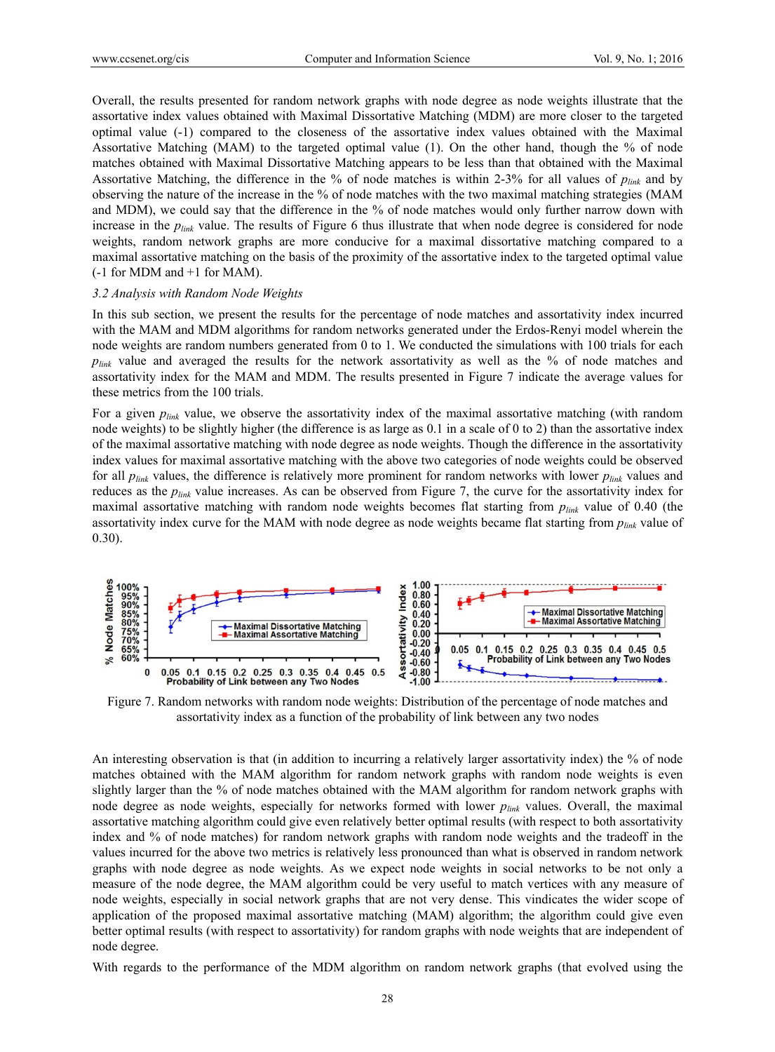Overall, the results presented for random network graphs with node degree as node weights illustrate that the assortative index values obtained with Maximal Dissortative Matching (MDM) are more closer to the targeted optimal value (-1) compared to the closeness of the assortative index values obtained with the Maximal Assortative Matching (MAM) to the targeted optimal value (1). On the other hand, though the % of node matches obtained with Maximal Dissortative Matching appears to be less than that obtained with the Maximal Assortative Matching, the difference in the % of node matches is within 2-3% for all values of *plink* and by observing the nature of the increase in the % of node matches with the two maximal matching strategies (MAM and MDM), we could say that the difference in the % of node matches would only further narrow down with increase in the  $p_{link}$  value. The results of Figure 6 thus illustrate that when node degree is considered for node weights, random network graphs are more conducive for a maximal dissortative matching compared to a maximal assortative matching on the basis of the proximity of the assortative index to the targeted optimal value (-1 for MDM and +1 for MAM).

#### *3.2 Analysis with Random Node Weights*

In this sub section, we present the results for the percentage of node matches and assortativity index incurred with the MAM and MDM algorithms for random networks generated under the Erdos-Renyi model wherein the node weights are random numbers generated from 0 to 1. We conducted the simulations with 100 trials for each *plink* value and averaged the results for the network assortativity as well as the % of node matches and assortativity index for the MAM and MDM. The results presented in Figure 7 indicate the average values for these metrics from the 100 trials.

For a given  $p_{link}$  value, we observe the assortativity index of the maximal assortative matching (with random node weights) to be slightly higher (the difference is as large as 0.1 in a scale of 0 to 2) than the assortative index of the maximal assortative matching with node degree as node weights. Though the difference in the assortativity index values for maximal assortative matching with the above two categories of node weights could be observed for all *plink* values, the difference is relatively more prominent for random networks with lower *plink* values and reduces as the  $p_{link}$  value increases. As can be observed from Figure 7, the curve for the assortativity index for maximal assortative matching with random node weights becomes flat starting from *plink* value of 0.40 (the assortativity index curve for the MAM with node degree as node weights became flat starting from *plink* value of 0.30).



Figure 7. Random networks with random node weights: Distribution of the percentage of node matches and assortativity index as a function of the probability of link between any two nodes

An interesting observation is that (in addition to incurring a relatively larger assortativity index) the % of node matches obtained with the MAM algorithm for random network graphs with random node weights is even slightly larger than the % of node matches obtained with the MAM algorithm for random network graphs with node degree as node weights, especially for networks formed with lower *plink* values. Overall, the maximal assortative matching algorithm could give even relatively better optimal results (with respect to both assortativity index and % of node matches) for random network graphs with random node weights and the tradeoff in the values incurred for the above two metrics is relatively less pronounced than what is observed in random network graphs with node degree as node weights. As we expect node weights in social networks to be not only a measure of the node degree, the MAM algorithm could be very useful to match vertices with any measure of node weights, especially in social network graphs that are not very dense. This vindicates the wider scope of application of the proposed maximal assortative matching (MAM) algorithm; the algorithm could give even better optimal results (with respect to assortativity) for random graphs with node weights that are independent of node degree.

With regards to the performance of the MDM algorithm on random network graphs (that evolved using the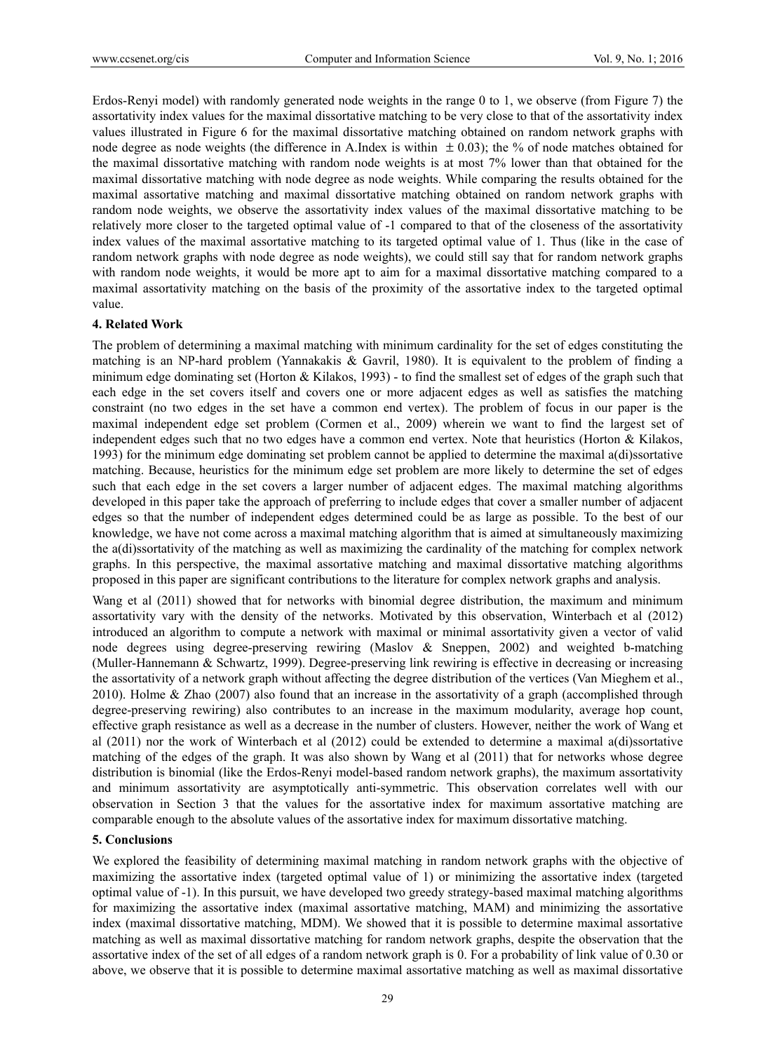Erdos-Renyi model) with randomly generated node weights in the range 0 to 1, we observe (from Figure 7) the assortativity index values for the maximal dissortative matching to be very close to that of the assortativity index values illustrated in Figure 6 for the maximal dissortative matching obtained on random network graphs with node degree as node weights (the difference in A.Index is within  $\pm 0.03$ ); the % of node matches obtained for the maximal dissortative matching with random node weights is at most 7% lower than that obtained for the maximal dissortative matching with node degree as node weights. While comparing the results obtained for the maximal assortative matching and maximal dissortative matching obtained on random network graphs with random node weights, we observe the assortativity index values of the maximal dissortative matching to be relatively more closer to the targeted optimal value of -1 compared to that of the closeness of the assortativity index values of the maximal assortative matching to its targeted optimal value of 1. Thus (like in the case of random network graphs with node degree as node weights), we could still say that for random network graphs with random node weights, it would be more apt to aim for a maximal dissortative matching compared to a maximal assortativity matching on the basis of the proximity of the assortative index to the targeted optimal value.

## **4. Related Work**

The problem of determining a maximal matching with minimum cardinality for the set of edges constituting the matching is an NP-hard problem (Yannakakis & Gavril, 1980). It is equivalent to the problem of finding a minimum edge dominating set (Horton & Kilakos, 1993) - to find the smallest set of edges of the graph such that each edge in the set covers itself and covers one or more adjacent edges as well as satisfies the matching constraint (no two edges in the set have a common end vertex). The problem of focus in our paper is the maximal independent edge set problem (Cormen et al., 2009) wherein we want to find the largest set of independent edges such that no two edges have a common end vertex. Note that heuristics (Horton & Kilakos, 1993) for the minimum edge dominating set problem cannot be applied to determine the maximal a(di)ssortative matching. Because, heuristics for the minimum edge set problem are more likely to determine the set of edges such that each edge in the set covers a larger number of adjacent edges. The maximal matching algorithms developed in this paper take the approach of preferring to include edges that cover a smaller number of adjacent edges so that the number of independent edges determined could be as large as possible. To the best of our knowledge, we have not come across a maximal matching algorithm that is aimed at simultaneously maximizing the a(di)ssortativity of the matching as well as maximizing the cardinality of the matching for complex network graphs. In this perspective, the maximal assortative matching and maximal dissortative matching algorithms proposed in this paper are significant contributions to the literature for complex network graphs and analysis.

Wang et al (2011) showed that for networks with binomial degree distribution, the maximum and minimum assortativity vary with the density of the networks. Motivated by this observation, Winterbach et al (2012) introduced an algorithm to compute a network with maximal or minimal assortativity given a vector of valid node degrees using degree-preserving rewiring (Maslov & Sneppen, 2002) and weighted b-matching (Muller-Hannemann & Schwartz, 1999). Degree-preserving link rewiring is effective in decreasing or increasing the assortativity of a network graph without affecting the degree distribution of the vertices (Van Mieghem et al., 2010). Holme & Zhao (2007) also found that an increase in the assortativity of a graph (accomplished through degree-preserving rewiring) also contributes to an increase in the maximum modularity, average hop count, effective graph resistance as well as a decrease in the number of clusters. However, neither the work of Wang et al (2011) nor the work of Winterbach et al (2012) could be extended to determine a maximal a(di)ssortative matching of the edges of the graph. It was also shown by Wang et al (2011) that for networks whose degree distribution is binomial (like the Erdos-Renyi model-based random network graphs), the maximum assortativity and minimum assortativity are asymptotically anti-symmetric. This observation correlates well with our observation in Section 3 that the values for the assortative index for maximum assortative matching are comparable enough to the absolute values of the assortative index for maximum dissortative matching.

#### **5. Conclusions**

We explored the feasibility of determining maximal matching in random network graphs with the objective of maximizing the assortative index (targeted optimal value of 1) or minimizing the assortative index (targeted optimal value of -1). In this pursuit, we have developed two greedy strategy-based maximal matching algorithms for maximizing the assortative index (maximal assortative matching, MAM) and minimizing the assortative index (maximal dissortative matching, MDM). We showed that it is possible to determine maximal assortative matching as well as maximal dissortative matching for random network graphs, despite the observation that the assortative index of the set of all edges of a random network graph is 0. For a probability of link value of 0.30 or above, we observe that it is possible to determine maximal assortative matching as well as maximal dissortative